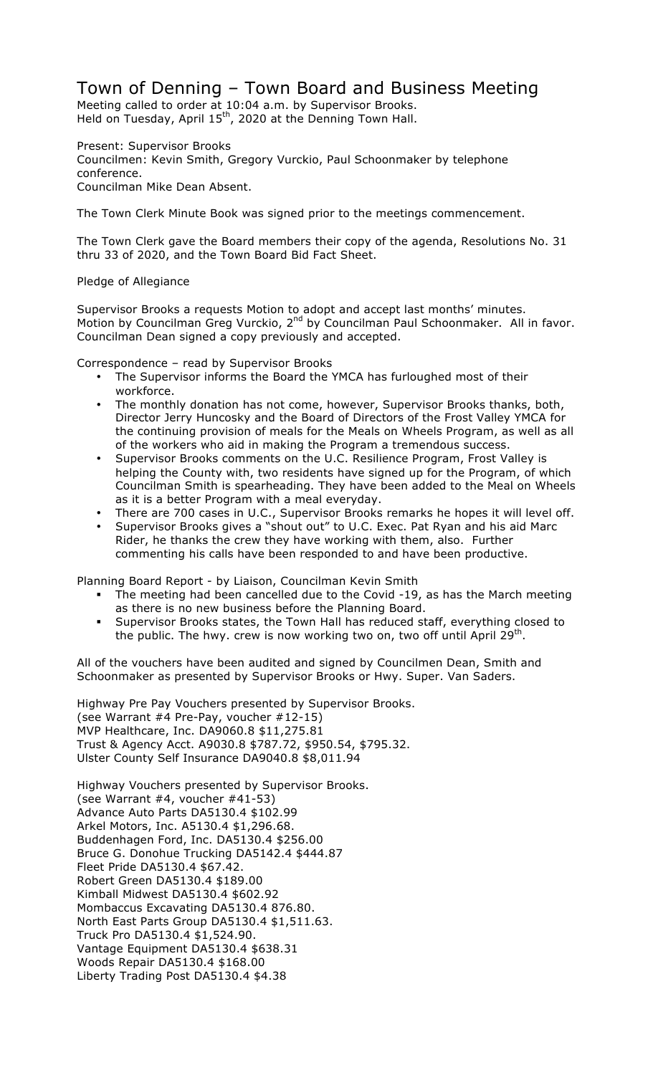## Town of Denning – Town Board and Business Meeting

Meeting called to order at 10:04 a.m. by Supervisor Brooks. Held on Tuesday, April  $15<sup>th</sup>$ , 2020 at the Denning Town Hall.

Present: Supervisor Brooks Councilmen: Kevin Smith, Gregory Vurckio, Paul Schoonmaker by telephone conference. Councilman Mike Dean Absent.

The Town Clerk Minute Book was signed prior to the meetings commencement.

The Town Clerk gave the Board members their copy of the agenda, Resolutions No. 31 thru 33 of 2020, and the Town Board Bid Fact Sheet.

## Pledge of Allegiance

Supervisor Brooks a requests Motion to adopt and accept last months' minutes. Motion by Councilman Greg Vurckio, 2<sup>nd</sup> by Councilman Paul Schoonmaker. All in favor. Councilman Dean signed a copy previously and accepted.

Correspondence – read by Supervisor Brooks

- The Supervisor informs the Board the YMCA has furloughed most of their workforce.
- The monthly donation has not come, however, Supervisor Brooks thanks, both, Director Jerry Huncosky and the Board of Directors of the Frost Valley YMCA for the continuing provision of meals for the Meals on Wheels Program, as well as all of the workers who aid in making the Program a tremendous success.
- Supervisor Brooks comments on the U.C. Resilience Program, Frost Valley is helping the County with, two residents have signed up for the Program, of which Councilman Smith is spearheading. They have been added to the Meal on Wheels as it is a better Program with a meal everyday.
- There are 700 cases in U.C., Supervisor Brooks remarks he hopes it will level off.
- Supervisor Brooks gives a "shout out" to U.C. Exec. Pat Ryan and his aid Marc Rider, he thanks the crew they have working with them, also. Further commenting his calls have been responded to and have been productive.

Planning Board Report - by Liaison, Councilman Kevin Smith

- ! The meeting had been cancelled due to the Covid -19, as has the March meeting as there is no new business before the Planning Board.
- ! Supervisor Brooks states, the Town Hall has reduced staff, everything closed to the public. The hwy. crew is now working two on, two off until April  $29<sup>th</sup>$ .

All of the vouchers have been audited and signed by Councilmen Dean, Smith and Schoonmaker as presented by Supervisor Brooks or Hwy. Super. Van Saders.

Highway Pre Pay Vouchers presented by Supervisor Brooks. (see Warrant #4 Pre-Pay, voucher #12-15) MVP Healthcare, Inc. DA9060.8 \$11,275.81 Trust & Agency Acct. A9030.8 \$787.72, \$950.54, \$795.32. Ulster County Self Insurance DA9040.8 \$8,011.94

Highway Vouchers presented by Supervisor Brooks. (see Warrant #4, voucher #41-53) Advance Auto Parts DA5130.4 \$102.99 Arkel Motors, Inc. A5130.4 \$1,296.68. Buddenhagen Ford, Inc. DA5130.4 \$256.00 Bruce G. Donohue Trucking DA5142.4 \$444.87 Fleet Pride DA5130.4 \$67.42. Robert Green DA5130.4 \$189.00 Kimball Midwest DA5130.4 \$602.92 Mombaccus Excavating DA5130.4 876.80. North East Parts Group DA5130.4 \$1,511.63. Truck Pro DA5130.4 \$1,524.90. Vantage Equipment DA5130.4 \$638.31 Woods Repair DA5130.4 \$168.00 Liberty Trading Post DA5130.4 \$4.38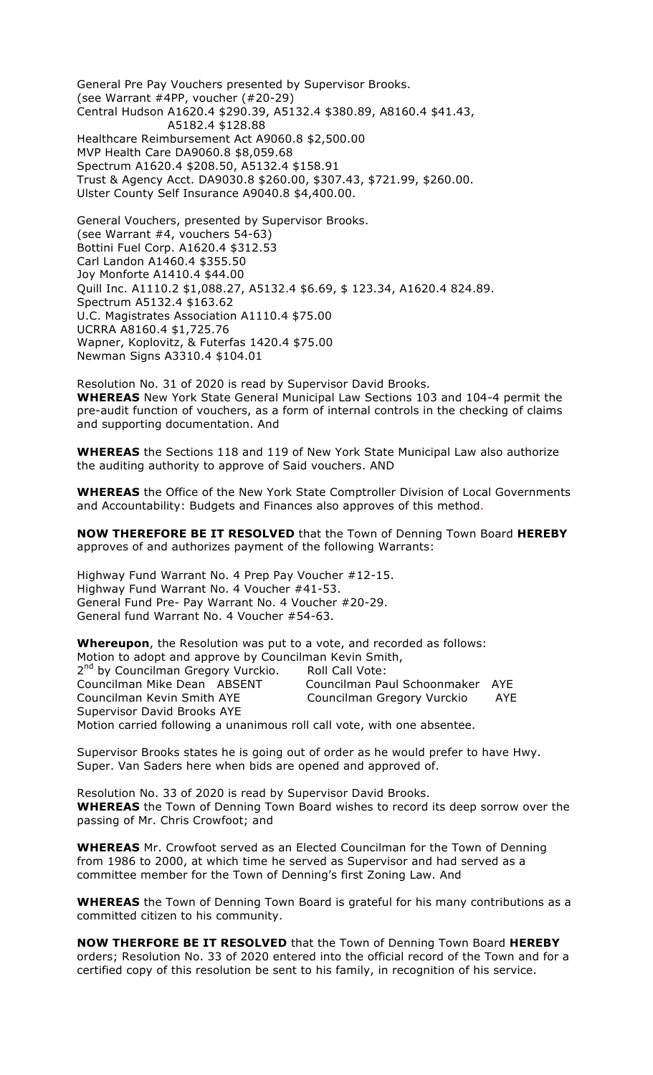General Pre Pay Vouchers presented by Supervisor Brooks. (see Warrant #4PP, voucher (#20-29) Central Hudson A1620.4 \$290.39, A5132.4 \$380.89, A8160.4 \$41.43, A5182.4 \$128.88 Healthcare Reimbursement Act A9060.8 \$2,500.00 MVP Health Care DA9060.8 \$8,059.68 Spectrum A1620.4 \$208.50, A5132.4 \$158.91 Trust & Agency Acct. DA9030.8 \$260.00, \$307.43, \$721.99, \$260.00. Ulster County Self Insurance A9040.8 \$4,400.00.

General Vouchers, presented by Supervisor Brooks. (see Warrant #4, vouchers 54-63) Bottini Fuel Corp. A1620.4 \$312.53 Carl Landon A1460.4 \$355.50 Joy Monforte A1410.4 \$44.00 Quill Inc. A1110.2 \$1,088.27, A5132.4 \$6.69, \$ 123.34, A1620.4 824.89. Spectrum A5132.4 \$163.62 U.C. Magistrates Association A1110.4 \$75.00 UCRRA A8160.4 \$1,725.76 Wapner, Koplovitz, & Futerfas 1420.4 \$75.00 Newman Signs A3310.4 \$104.01

Resolution No. 31 of 2020 is read by Supervisor David Brooks. **WHEREAS** New York State General Municipal Law Sections 103 and 104-4 permit the pre-audit function of vouchers, as a form of internal controls in the checking of claims and supporting documentation. And

**WHEREAS** the Sections 118 and 119 of New York State Municipal Law also authorize the auditing authority to approve of Said vouchers. AND

**WHEREAS** the Office of the New York State Comptroller Division of Local Governments and Accountability: Budgets and Finances also approves of this method.

**NOW THEREFORE BE IT RESOLVED** that the Town of Denning Town Board **HEREBY** approves of and authorizes payment of the following Warrants:

Highway Fund Warrant No. 4 Prep Pay Voucher #12-15. Highway Fund Warrant No. 4 Voucher #41-53. General Fund Pre- Pay Warrant No. 4 Voucher #20-29. General fund Warrant No. 4 Voucher #54-63.

**Whereupon**, the Resolution was put to a vote, and recorded as follows: Motion to adopt and approve by Councilman Kevin Smith, 2<sup>nd</sup> by Councilman Gregory Vurckio. Roll Call Vote: Councilman Mike Dean ABSENT Councilman Paul Schoonmaker AYE Councilman Kevin Smith AYE Councilman Gregory Vurckio AYE Supervisor David Brooks AYE Motion carried following a unanimous roll call vote, with one absentee.

Supervisor Brooks states he is going out of order as he would prefer to have Hwy. Super. Van Saders here when bids are opened and approved of.

Resolution No. 33 of 2020 is read by Supervisor David Brooks. **WHEREAS** the Town of Denning Town Board wishes to record its deep sorrow over the passing of Mr. Chris Crowfoot; and

**WHEREAS** Mr. Crowfoot served as an Elected Councilman for the Town of Denning from 1986 to 2000, at which time he served as Supervisor and had served as a committee member for the Town of Denning's first Zoning Law. And

**WHEREAS** the Town of Denning Town Board is grateful for his many contributions as a committed citizen to his community.

**NOW THERFORE BE IT RESOLVED** that the Town of Denning Town Board **HEREBY**  orders; Resolution No. 33 of 2020 entered into the official record of the Town and for a certified copy of this resolution be sent to his family, in recognition of his service.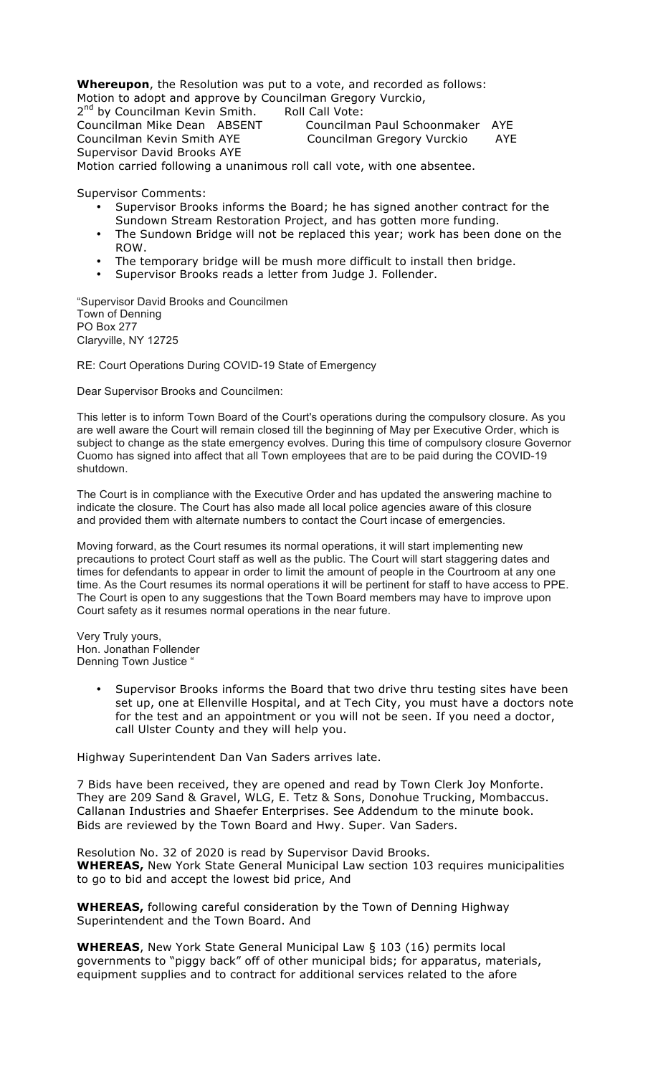**Whereupon**, the Resolution was put to a vote, and recorded as follows: Motion to adopt and approve by Councilman Gregory Vurckio,

2<sup>nd</sup> by Councilman Kevin Smith. Roll Call Vote: Councilman Mike Dean ABSENT Councilman Paul Schoonmaker AYE Councilman Kevin Smith AYE Councilman Gregory Vurckio AYE

Supervisor David Brooks AYE Motion carried following a unanimous roll call vote, with one absentee.

Supervisor Comments:

- Supervisor Brooks informs the Board; he has signed another contract for the Sundown Stream Restoration Project, and has gotten more funding.
- The Sundown Bridge will not be replaced this year; work has been done on the ROW.
- The temporary bridge will be mush more difficult to install then bridge.
- Supervisor Brooks reads a letter from Judge J. Follender.

"Supervisor David Brooks and Councilmen Town of Denning PO Box 277 Claryville, NY 12725

RE: Court Operations During COVID-19 State of Emergency

Dear Supervisor Brooks and Councilmen:

This letter is to inform Town Board of the Court's operations during the compulsory closure. As you are well aware the Court will remain closed till the beginning of May per Executive Order, which is subject to change as the state emergency evolves. During this time of compulsory closure Governor Cuomo has signed into affect that all Town employees that are to be paid during the COVID-19 shutdown.

The Court is in compliance with the Executive Order and has updated the answering machine to indicate the closure. The Court has also made all local police agencies aware of this closure and provided them with alternate numbers to contact the Court incase of emergencies.

Moving forward, as the Court resumes its normal operations, it will start implementing new precautions to protect Court staff as well as the public. The Court will start staggering dates and times for defendants to appear in order to limit the amount of people in the Courtroom at any one time. As the Court resumes its normal operations it will be pertinent for staff to have access to PPE. The Court is open to any suggestions that the Town Board members may have to improve upon Court safety as it resumes normal operations in the near future.

Very Truly yours, Hon. Jonathan Follender Denning Town Justice "

> Supervisor Brooks informs the Board that two drive thru testing sites have been set up, one at Ellenville Hospital, and at Tech City, you must have a doctors note for the test and an appointment or you will not be seen. If you need a doctor, call Ulster County and they will help you.

Highway Superintendent Dan Van Saders arrives late.

7 Bids have been received, they are opened and read by Town Clerk Joy Monforte. They are 209 Sand & Gravel, WLG, E. Tetz & Sons, Donohue Trucking, Mombaccus. Callanan Industries and Shaefer Enterprises. See Addendum to the minute book. Bids are reviewed by the Town Board and Hwy. Super. Van Saders.

Resolution No. 32 of 2020 is read by Supervisor David Brooks. **WHEREAS,** New York State General Municipal Law section 103 requires municipalities to go to bid and accept the lowest bid price, And

**WHEREAS,** following careful consideration by the Town of Denning Highway Superintendent and the Town Board. And

**WHEREAS**, New York State General Municipal Law § 103 (16) permits local governments to "piggy back" off of other municipal bids; for apparatus, materials, equipment supplies and to contract for additional services related to the afore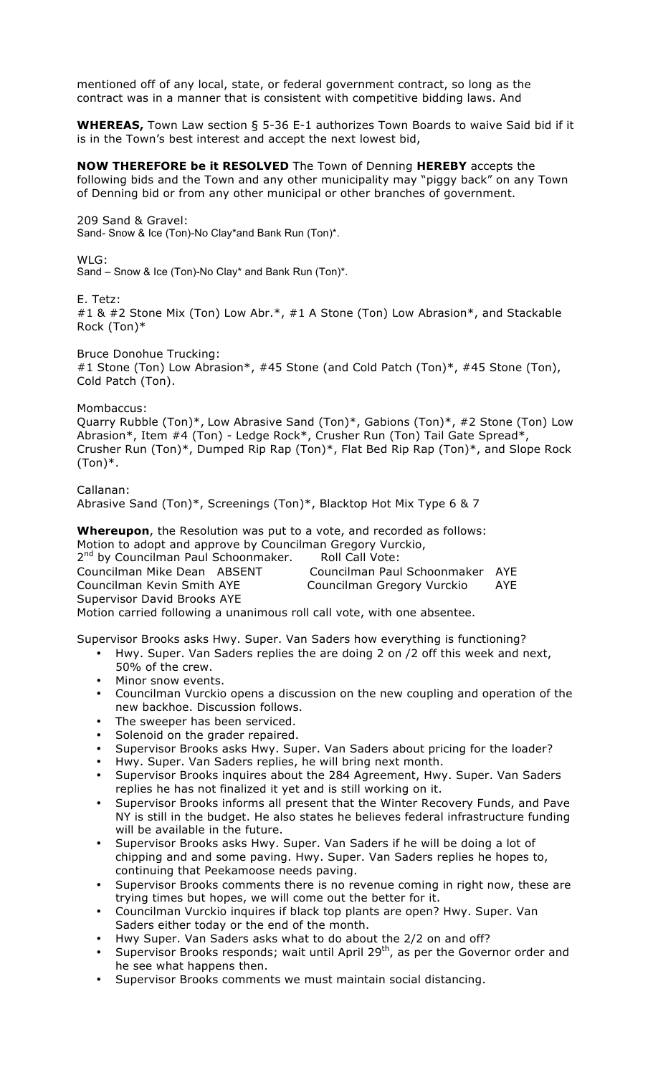mentioned off of any local, state, or federal government contract, so long as the contract was in a manner that is consistent with competitive bidding laws. And

**WHEREAS,** Town Law section § 5-36 E-1 authorizes Town Boards to waive Said bid if it is in the Town's best interest and accept the next lowest bid,

**NOW THEREFORE be it RESOLVED** The Town of Denning **HEREBY** accepts the following bids and the Town and any other municipality may "piggy back" on any Town of Denning bid or from any other municipal or other branches of government.

209 Sand & Gravel:

Sand- Snow & Ice (Ton)-No Clay\*and Bank Run (Ton)\*.

WLG:

Sand – Snow & Ice (Ton)-No Clay\* and Bank Run (Ton)\*.

E. Tetz:

#1 & #2 Stone Mix (Ton) Low Abr.\*, #1 A Stone (Ton) Low Abrasion\*, and Stackable Rock (Ton)\*

Bruce Donohue Trucking: #1 Stone (Ton) Low Abrasion\*, #45 Stone (and Cold Patch (Ton)\*, #45 Stone (Ton), Cold Patch (Ton).

## Mombaccus:

Quarry Rubble (Ton)\*, Low Abrasive Sand (Ton)\*, Gabions (Ton)\*, #2 Stone (Ton) Low Abrasion\*, Item #4 (Ton) - Ledge Rock\*, Crusher Run (Ton) Tail Gate Spread\*, Crusher Run (Ton)\*, Dumped Rip Rap (Ton)\*, Flat Bed Rip Rap (Ton)\*, and Slope Rock  $(Ton)*$ .

Callanan: Abrasive Sand (Ton)\*, Screenings (Ton)\*, Blacktop Hot Mix Type 6 & 7

**Whereupon**, the Resolution was put to a vote, and recorded as follows: Motion to adopt and approve by Councilman Gregory Vurckio, 2<sup>nd</sup> by Councilman Paul Schoonmaker. Roll Call Vote: Councilman Mike Dean ABSENT Councilman Paul Schoonmaker AYE Councilman Kevin Smith AYE Councilman Gregory Vurckio AYE Supervisor David Brooks AYE Motion carried following a unanimous roll call vote, with one absentee.

Supervisor Brooks asks Hwy. Super. Van Saders how everything is functioning?

- Hwy. Super. Van Saders replies the are doing 2 on /2 off this week and next, 50% of the crew.
- Minor snow events.
- Councilman Vurckio opens a discussion on the new coupling and operation of the new backhoe. Discussion follows.
- The sweeper has been serviced.
- Solenoid on the grader repaired.
- Supervisor Brooks asks Hwy. Super. Van Saders about pricing for the loader?
- Hwy. Super. Van Saders replies, he will bring next month.
- Supervisor Brooks inquires about the 284 Agreement, Hwy. Super. Van Saders replies he has not finalized it yet and is still working on it.
- Supervisor Brooks informs all present that the Winter Recovery Funds, and Pave NY is still in the budget. He also states he believes federal infrastructure funding will be available in the future.
- Supervisor Brooks asks Hwy. Super. Van Saders if he will be doing a lot of chipping and and some paving. Hwy. Super. Van Saders replies he hopes to, continuing that Peekamoose needs paving.
- Supervisor Brooks comments there is no revenue coming in right now, these are trying times but hopes, we will come out the better for it.
- Councilman Vurckio inquires if black top plants are open? Hwy. Super. Van Saders either today or the end of the month.
- Hwy Super. Van Saders asks what to do about the 2/2 on and off?
- Supervisor Brooks responds; wait until April  $29<sup>th</sup>$ , as per the Governor order and he see what happens then.
- Supervisor Brooks comments we must maintain social distancing.